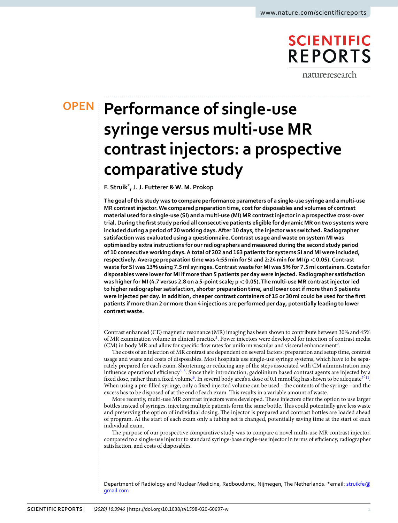# **SCIENTIFIC REPORTS**

natureresearch

# **Performance of single-use OPENsyringe versus multi-use MR contrast injectors: a prospective comparative study**

**F. Struik\*, J. J. Futterer & W. M. Prokop**

**The goal of this study was to compare performance parameters of a single-use syringe and a multi-use MR contrast injector. We compared preparation time, cost for disposables and volumes of contrast material used for a single-use (SI) and a multi-use (MI) MR contrast injector in a prospective cross-over trial. During the frst study period all consecutive patients eligible for dynamic MR on two systems were included during a period of 20 working days. After 10 days, the injector was switched. Radiographer satisfaction was evaluated using a questionnaire. Contrast usage and waste on system MI was optimised by extra instructions for our radiographers and measured during the second study period of 10 consecutive working days. A total of 202 and 163 patients for systems SI and MI were included, respectively. Average preparation time was 4:55min for SI and 2:24min for MI (p<0.05). Contrast waste for SI was 13% using 7.5ml syringes. Contrast waste for MI was 5% for 7.5ml containers. Costs for disposables were lower for MI if more than 5 patients per day were injected. Radiographer satisfaction was higher for MI (4.7 versus 2.8 on a 5-point scale; p<0.05). The multi-use MR contrast injector led to higher radiographer satisfaction, shorter preparation time, and lower cost if more than 5 patients were injected per day. In addition, cheaper contrast containers of 15 or 30ml could be used for the frst patients if more than 2 or more than 4 injections are performed per day, potentially leading to lower contrast waste.**

Contrast enhanced (CE) magnetic resonance (MR) imaging has been shown to contribute between 30% and 45% of MR examination volume in clinical practice<sup>[1](#page-4-0)</sup>. Power injectors were developed for injection of contrast media (CM) in body MR and allow for specific flow rates for uniform vascular and visceral enhancement<sup>2</sup>.

The costs of an injection of MR contrast are dependent on several factors: preparation and setup time, contrast usage and waste and costs of disposables. Most hospitals use single-use syringe systems, which have to be separately prepared for each exam. Shortening or reducing any of the steps associated with CM administration may influence operational efficiency<sup>3–[5](#page-4-3)</sup>. Since their introduction, gadolinium based contrast agents are injected by a fixed dose, rather than a fixed volume<sup>[6](#page-4-4)</sup>. In several body area's a dose of 0.1 mmol/kg has shown to be adequate<sup>7-11</sup>. When using a pre-flled syringe, only a fxed injected volume can be used - the contents of the syringe - and the excess has to be disposed of at the end of each exam. Tis results in a variable amount of waste.

More recently, multi-use MR contrast injectors were developed. These injectors offer the option to use larger bottles instead of syringes, injecting multiple patients form the same bottle. Tis could potentially give less waste and preserving the option of individual dosing. The injector is prepared and contrast bottles are loaded ahead of program. At the start of each exam only a tubing set is changed, potentially saving time at the start of each individual exam.

The purpose of our prospective comparative study was to compare a novel multi-use MR contrast injector, compared to a single-use injector to standard syringe-base single-use injector in terms of efficiency, radiographer satisfaction, and costs of disposables.

Department of Radiology and Nuclear Medicine, Radboudumc, Nijmegen, The Netherlands. \*email: [struikfe@](mailto:struikfe@gmail.com) [gmail.com](mailto:struikfe@gmail.com)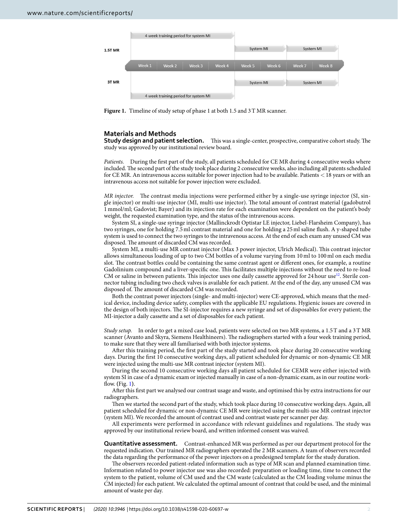

<span id="page-1-0"></span>**Figure 1.** Timeline of study setup of phase 1 at both 1.5 and 3T MR scanner.

# **Materials and Methods**

**Study design and patient selection.** This was a single-center, prospective, comparative cohort study. The study was approved by our institutional review board.

*Patients.* During the first part of the study, all patients scheduled for CE MR during 4 consecutive weeks where included. The second part of the study took place during 2 consecutive weeks, also including all patents scheduled for CE MR. An intravenous access suitable for power injection had to be available. Patients <18 years or with an intravenous access not suitable for power injection were excluded.

*MR injector.* The contrast media injections were performed either by a single-use syringe injector (SI, single injector) or multi-use injector (MI, multi-use injector). The total amount of contrast material (gadobutrol 1 mmol/ml; Gadovist; Bayer) and its injection rate for each examination were dependent on the patient's body weight, the requested examination type, and the status of the intravenous access.

System SI, a single-use syringe injector (Mallinckrodt Optistar LE injector, Liebel-Flarsheim Company), has two syringes, one for holding 7.5ml contrast material and one for holding a 25ml saline fush. A y-shaped tube system is used to connect the two syringes to the intravenous access. At the end of each exam any unused CM was disposed. The amount of discarded CM was recorded.

System MI, a multi-use MR contrast injector (Max 3 power injector, Ulrich Medical). This contrast injector allows simultaneous loading of up to two CM bottles of a volume varying from 10 ml to 100 ml on each media slot. The contrast bottles could be containing the same contrast agent or different ones, for example, a routine Gadolinium compound and a liver-specifc one. Tis facilitates multiple injections without the need to re-load CM or saline in between patients. This injector uses one daily cassette approved for 24 hour use<sup>12</sup>. Sterile connector tubing including two check valves is available for each patient. At the end of the day, any unused CM was disposed of. The amount of discarded CM was recorded.

Both the contrast power injectors (single- and multi-injector) were CE-approved, which means that the medical device, including device safety, complies with the applicable EU regulations. Hygienic issues are covered in the design of both injectors. The SI-injector requires a new syringe and set of disposables for every patient; the MI-injector a daily cassette and a set of disposables for each patient.

*Study setup.* In order to get a mixed case load, patients were selected on two MR systems, a 1.5T and a 3T MR scanner (Avanto and Skyra, Siemens Healthineers). The radiographers started with a four week training period, to make sure that they were all familiarised with both injector systems.

Afer this training period, the frst part of the study started and took place during 20 consecutive working days. During the frst 10 consecutive working days, all patient scheduled for dynamic or non-dynamic CE MR were injected using the multi-use MR contrast injector (system MI).

During the second 10 consecutive working days all patient scheduled for CEMR were either injected with system SI in case of a dynamic exam or injected manually in case of a non-dynamic exam, as in our routine workfow. **(**Fig. [1](#page-1-0)**)**.

Afer this frst part we analysed our contrast usage and waste, and optimised this by extra instructions for our radiographers.

Then we started the second part of the study, which took place during 10 consecutive working days. Again, all patient scheduled for dynamic or non-dynamic CE MR were injected using the multi-use MR contrast injector (system MI). We recorded the amount of contrast used and contrast waste per scanner per day.

All experiments were performed in accordance with relevant guidelines and regulations. The study was approved by our institutional review board, and written informed consent was waived.

**Quantitative assessment.** Contrast-enhanced MR was performed as per our department protocol for the requested indication. Our trained MR radiographers operated the 2 MR scanners. A team of observers recorded the data regarding the performance of the power injectors on a predesigned template for the study duration.

The observers recorded patient-related information such as type of MR scan and planned examination time. Information related to power injector use was also recorded: preparation or loading time, time to connect the system to the patient, volume of CM used and the CM waste (calculated as the CM loading volume minus the CM injected) for each patient. We calculated the optimal amount of contrast that could be used, and the minimal amount of waste per day.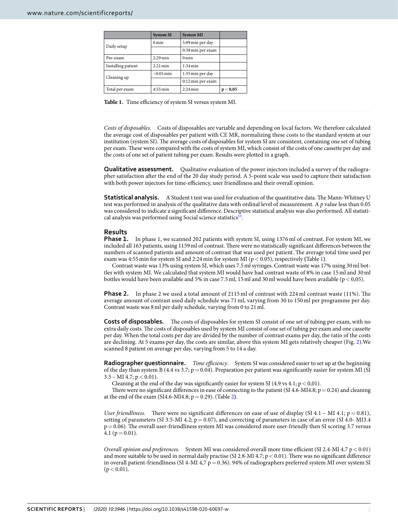<span id="page-2-0"></span>

|                    | <b>System SI</b>      | <b>System MI</b>   |          |
|--------------------|-----------------------|--------------------|----------|
| Daily setup        | 0 <sub>min</sub>      | 5:09 min per day   |          |
|                    |                       | 0:38 min per exam  |          |
| Pre-exam           | $2:29$ min            | $0 \text{ min}$    |          |
| Installing patient | $2:21 \,\mathrm{min}$ | $1:34 \text{ min}$ |          |
| Cleaning up        | $\sim 0.05$ min       | 1:35 min per day   |          |
|                    |                       | 0:12 min per exam  |          |
| Total per exam     | $4:55 \text{ min}$    | $2:24$ min         | p < 0,05 |

Table 1. Time efficiency of system SI versus system MI.

*Costs of disposables.* Costs of disposables are variable and depending on local factors. We therefore calculated the average cost of disposables per patient with CE MR, normalizing these costs to the standard system at our institution (system SI). The average costs of disposables for system SI are consistent, containing one set of tubing per exam. These were compared with the costs of system MI, which consist of the costs of one cassette per day and the costs of one set of patient tubing per exam. Results were plotted in a graph.

**Qualitative assessment.** Qualitative evaluation of the power injectors included a survey of the radiographer satisfaction afer the end of the 20 day study period. A 5-point scale was used to capture their satisfaction with both power injectors for time-efficiency, user friendliness and their overall opinion.

**Statistical analysis.** A Student t test was used for evaluation of the quantitative data. The Mann-Whitney U test was performed in analysis of the qualitative data with ordinal level of measurement. A *p* value less than 0.05 was considered to indicate a signifcant diference. Descriptive statistical analysis was also performed. All statistical analysis was performed using Social science statistics $^{13}$ .

### **Results**

**Phase 1.** In phase 1, we scanned 202 patients with system SI, using 1376 ml of contrast. For system MI, we included all 163 patients, using 1159 ml of contrast. There were no statistically significant differences between the numbers of scanned patients and amount of contrast that was used per patient. The average total time used per exam was 4:55 min for system SI and 2:24 min for system MI ( $p < 0.05$ ), respectively (Table [1](#page-2-0)).

Contrast waste was 13% using system SI, which uses 7.5ml syringes. Contrast waste was 17% using 30ml bottles with system MI. We calculated that system MI would have had contrast waste of 8% in case 15ml and 30ml bottles would have been available and 5% in case 7.5 ml, 15 ml and 30 ml would have been available ( $p < 0.05$ ).

**Phase 2.** In phase 2 we used a total amount of 2115 ml of contrast with 224 ml contrast waste (11%). The average amount of contrast used daily schedule was 71 ml, varying from 30 to 150 ml per programme per day. Contrast waste was 8ml per daily schedule, varying from 0 to 21ml.

**Costs of disposables.** The costs of disposables for system SI consist of one set of tubing per exam, with no extra daily costs. The costs of disposables used by system MI consist of one set of tubing per exam and one cassette per day. When the total costs per day are divided by the number of contrast exams per day, the ratio of the costs are declining. At 5 exams per day, the costs are similar, above this system MI gets relatively cheaper (Fig. [2\)](#page-3-0).We scanned 8 patient on average per day, varying from 5 to 14 a day.

**Radiographer questionnaire.** *Time efficiency*. System SI was considered easier to set up at the beginning of the day than system B (4.4 vs 3.7;  $p = 0.04$ ). Preparation per patient was significantly easier for system MI (SI 3.5 – MI 4.7;  $p < 0.01$ ).

Cleaning at the end of the day was significantly easier for system SI (4.9 vs 4.1;  $p < 0.01$ ).

There were no significant differences in ease of connecting to the patient (SI 4.6-MI4.8;  $p=0.24$ ) and cleaning at the end of the exam (SI4.6-MI4.8; p=0.29). (Table [2](#page-3-1)**)**.

*User friendliness.* There were no significant differences on ease of use of display (SI 4.1 – MI 4.1;  $p = 0.81$ ), setting of parameters (SI 3.5-MI 4.2;  $p = 0.07$ ), and correcting of parameters in case of an error (SI 4.0- MI3.4)  $p=0.06$ ). The overall user-friendliness system MI was considered more user-friendly then SI scoring 3.7 versus 4.1 ( $p=0.01$ ).

*Overall opinion and preferences.* System MI was considered overall more time efficient (SI 2.4-MI 4.7 p < 0.01) and more suitable to be used in normal daily practise (SI 2.8-MI 4.7;  $p < 0.01$ ). There was no significant difference in overall patient-friendliness (SI 4-MI 4,7 p=0.36). 94% of radiographers preferred system MI over system SI  $(p < 0.01)$ .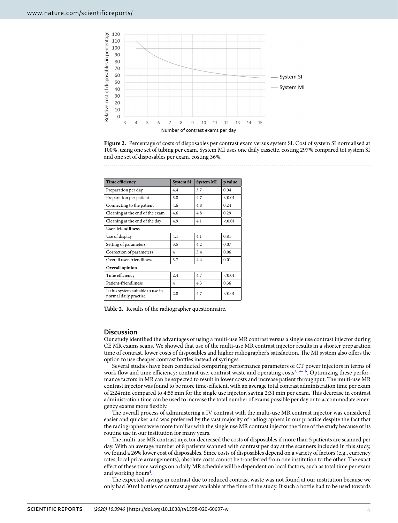

<span id="page-3-0"></span>**Figure 2.** Percentage of costs of disposables per contrast exam versus system SI. Cost of system SI normalised at 100%, using one set of tubing per exam. System MI uses one daily cassette, costing 297% compared tot system SI and one set of disposables per exam, costing 36%.

<span id="page-3-1"></span>

| Time efficiency                                            | <b>System SI</b> | <b>System MI</b> | p value |  |  |
|------------------------------------------------------------|------------------|------------------|---------|--|--|
| Preparation per day                                        | 4.4              | 3.7              | 0.04    |  |  |
| Preparation per patient                                    | 3.8              | 4.7              | < 0.01  |  |  |
| Connecting to the patient                                  | 4.6              | 4.8              | 0.24    |  |  |
| Cleaning at the end of the exam                            | 4.6              | 4.8              | 0.29    |  |  |
| Cleaning at the end of the day                             | 4.9              | 4.1              | < 0.01  |  |  |
| <b>User-friendliness</b>                                   |                  |                  |         |  |  |
| Use of display                                             | 4.1              | 4.1              | 0.81    |  |  |
| Setting of parameters                                      | 3.5              | 4.2              | 0.07    |  |  |
| Correction of parameters                                   | 4                | 3.4              | 0.06    |  |  |
| Overall user-friendliness                                  | 3.7              | 4.4              | 0.01    |  |  |
| Overall opinion                                            |                  |                  |         |  |  |
| Time efficiency                                            | 2.4              | 4.7              | < 0.01  |  |  |
| Patient-friendliness                                       | 4                | 4.3              | 0.36    |  |  |
| Is this system suitable to use in<br>normal daily practise | 2.8              | 4.7              | < 0.01  |  |  |

**Table 2.** Results of the radiographer questionnaire.

### **Discussion**

Our study identifed the advantages of using a multi-use MR contrast versus a single use contrast injector during CE MR exams scans. We showed that use of the multi-use MR contrast injector results in a shorter preparation time of contrast, lower costs of disposables and higher radiographer's satisfaction. The MI system also offers the option to use cheaper contrast bottles instead of syringes.

Several studies have been conducted comparing performance parameters of CT power injectors in terms of work flow and time efficiency; contrast use, contrast waste and operating costs<sup>[3](#page-4-2),[14](#page-4-9)–[16](#page-4-10)</sup>. Optimizing these performance factors in MR can be expected to result in lower costs and increase patient throughput. The multi-use MR contrast injector was found to be more time-efficient, with an average total contrast administration time per exam of 2:24min compared to 4:55min for the single use injector, saving 2:31min per exam. Tis decrease in contrast administration time can be used to increase the total number of exams possible per day or to accommodate emergency exams more fexibly.

The overall process of administering a IV contrast with the multi-use MR contrast injector was considered easier and quicker and was preferred by the vast majority of radiographers in our practice despite the fact that the radiographers were more familiar with the single use MR contrast injector the time of the study because of its routine use in our institution for many years.

The multi-use MR contrast injector decreased the costs of disposables if more than 5 patients are scanned per day. With an average number of 8 patients scanned with contrast per day at the scanners included in this study, we found a 26% lower cost of disposables. Since costs of disposables depend on a variety of factors (e.g., currency rates, local price arrangements), absolute costs cannot be transferred from one institution to the other. The exact efect of these time savings on a daily MR schedule will be dependent on local factors, such as total time per exam and working hours<sup>4</sup>.

The expected savings in contrast due to reduced contrast waste was not found at our institution because we only had 30ml bottles of contrast agent available at the time of the study. If such a bottle had to be used towards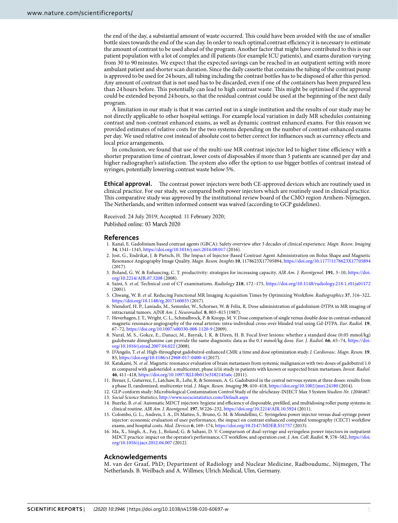the end of the day, a substantial amount of waste occurred. This could have been avoided with the use of smaller bottle sizes towards the end of the scan day. In order to reach optimal contrast efficiency it is necessary to estimate the amount of contrast to be used ahead of the program. Another factor that might have contributed to this is our patient population with a lot of complex and ill patients (for example ICU patients), and exams duration varying from 30 to 90 minutes. We expect that the expected savings can be reached in an outpatient setting with more ambulant patient and shorter scan duration. Since the daily cassette that contains the tubing of the contrast pump is approved to be used for 24hours, all tubing including the contrast bottles has to be disposed of afer this period. Any amount of contrast that is not used has to be discarded, even if one of the containers has been prepared less than 24 hours before. Tis potentially can lead to high contrast waste. Tis might be optimised if the approval could be extended beyond 24hours, so that the residual contrast could be used at the beginning of the next daily program.

A limitation in our study is that it was carried out in a single institution and the results of our study may be not directly applicable to other hospital settings. For example local variation in daily MR schedules containing contrast and non-contrast enhanced exams, as well as dynamic contrast enhanced exams. For this reason we provided estimates of relative costs for the two systems depending on the number of contrast-enhanced exams per day. We used relative cost instead of absolute cost to better correct for infuences such as currency efects and local price arrangements.

In conclusion, we found that use of the multi-use MR contrast injector led to higher time efficiency with a shorter preparation time of contrast, lower costs of disposables if more than 5 patients are scanned per day and higher radiographer's satisfaction. The system also offer the option to use bigger bottles of contrast instead of syringes, potentially lowering contrast waste below 5%.

**Ethical approval.** The contrast power injectors were both CE-approved devices which are routinely used in clinical practice. For our study, we compared both power injectors which are routinely used in clinical practice. Tis comparative study was approved by the institutional review board of the CMO region Arnhem-Nijmegen, The Netherlands, and written informed consent was waived (according to GCP guidelines).

Received: 24 July 2019; Accepted: 11 February 2020; Published online: 03 March 2020

### **References**

- <span id="page-4-0"></span>1. Kanal, E. Gadolinium based contrast agents (GBCA): Safety overview afer 3 decades of clinical experience. *Magn. Reson. Imaging* **34**, 1341–1345,<https://doi.org/10.1016/j.mri.2016.08.017>(2016).
- <span id="page-4-1"></span>2. Jost, G., Endrikat, J. & Pietsch, H. Te Impact of Injector-Based Contrast Agent Administration on Bolus Shape and Magnetic Resonance Angiography Image Quality. *Magn. Reson. Insights* **10**, 1178623X17705894,<https://doi.org/10.1177/1178623X17705894> (2017).
- <span id="page-4-2"></span>3. Boland, G. W. & Enhancing, C. T. productivity: strategies for increasing capacity. *AJR Am. J. Roentgenol.* **191**, 3–10, [https://doi.](https://doi.org/10.2214/AJR.07.3208) [org/10.2214/AJR.07.3208](https://doi.org/10.2214/AJR.07.3208) (2008).
- <span id="page-4-11"></span>4. Saini, S. *et al*. Technical cost of CT examinations. *Radiology* **218**, 172–175, <https://doi.org/10.1148/radiology.218.1.r01ja01172> (2001).
- <span id="page-4-3"></span>5. Chwang, W. B. *et al*. Reducing Functional MR Imaging Acquisition Times by Optimizing Workfow. *Radiographics* **37**, 316–322, <https://doi.org/10.1148/rg.2017160035>(2017).
- <span id="page-4-4"></span>6. Niendorf, H. P., Laniado, M., Semmler, W., Schorner, W. & Felix, R. Dose administration of gadolinium-DTPA in MR imaging of intracranial tumors. *AJNR Am. J. Neuroradiol.* **8**, 803–815 (1987).
- <span id="page-4-5"></span>7. Heverhagen, J. T., Wright, C. L., Schmalbrock, P. & Knopp, M. V. Dose comparison of single versus double dose in contrast-enhanced magnetic resonance angiography of the renal arteries: intra-individual cross-over blinded trial using Gd-DTPA. *Eur. Radiol.* **19**, 67–72,<https://doi.org/10.1007/s00330-008-1120-9> (2009).
- 8. Nural, M. S., Gokce, E., Danaci, M., Bayrak, I. K. & Diren, H. B. Focal liver lesions: whether a standard dose (0.05 mmol/kg) gadobenate dimeglumine can provide the same diagnostic data as the 0.1 mmol/kg dose. *Eur. J. Radiol.* **66**, 65–74, [https://doi.](https://doi.org/10.1016/j.ejrad.2007.04.022) [org/10.1016/j.ejrad.2007.04.022](https://doi.org/10.1016/j.ejrad.2007.04.022) (2008).
- 9. D'Angelo, T. *et al*. High-throughput gadobutrol-enhanced CMR: a time and dose optimization study. *J. Cardiovasc. Magn. Reson.* **19**, 83,<https://doi.org/10.1186/s12968-017-0400-4>(2017).
- 10. Katakami, N. *et al*. Magnetic resonance evaluation of brain metastases from systemic malignances with two doses of gadobutrol 1.0 m compared with gadoteridol: a multicenter, phase ii/iii study in patients with known or suspected brain metastases. *Invest. Radiol.* **46**, 411–418,<https://doi.org/10.1097/RLI.0b013e3182145a6c> (2011).
- <span id="page-4-6"></span>11. Breuer, J., Gutierrez, J., Latchaw, R., Lehr, R. & Sorensen, A. G. Gadobutrol in the central nervous system at three doses: results from a phase II, randomized, multicenter trial. *J. Magn. Reson. Imaging* **39**, 410–418,<https://doi.org/10.1002/jmri.24180> (2014).
- <span id="page-4-7"></span>12. GLP-conform study: Microbiological Contamination Control Study of the ulricheasy-INJECT Max 3 System *Studien-Nr. 12046467*.
- <span id="page-4-8"></span>13. *Social Science Statistics*,<http://www.socscistatistics.com/Default.aspx>
- <span id="page-4-9"></span>14. Buerke, B. et al. Automatic MDCT injectors: hygiene and efficiency of disposable, prefilled, and multidosing roller pump systems in clinical routine. *AJR Am. J. Roentgenol.* **197**, W226–232, <https://doi.org/10.2214/AJR.10.5924> (2011).
- 15. Colombo, G. L., Andreis, I. A., Di Matteo, S., Bruno, G. M. & Mondellini, C. Syringeless power injector versus dual-syringe power injector: economic evaluation of user performance, the impact on contrast enhanced computed tomography (CECT) workfow exams, and hospital costs. *Med. Devices* **6**, 169–174, <https://doi.org/10.2147/MDER.S51757> (2013).
- <span id="page-4-10"></span>16. Ma, X., Singh, A., Fay, J., Boland, G. & Sahani, D. V. Comparison of dual-syringe and syringeless power injectors in outpatient MDCT practice: impact on the operator's performance, CT workfow, and operation cost. *J. Am. Coll. Radiol.* **9**, 578–582, [https://doi.](https://doi.org/10.1016/j.jacr.2012.04.007) [org/10.1016/j.jacr.2012.04.007](https://doi.org/10.1016/j.jacr.2012.04.007) (2012).

# **Acknowledgements**

M. van der Graaf, PhD; Department of Radiology and Nuclear Medicine, Radboudumc, Nijmegen, The Netherlands. B. Weilbach and A. Willmes; Ulrich Medical, Ulm, Germany.